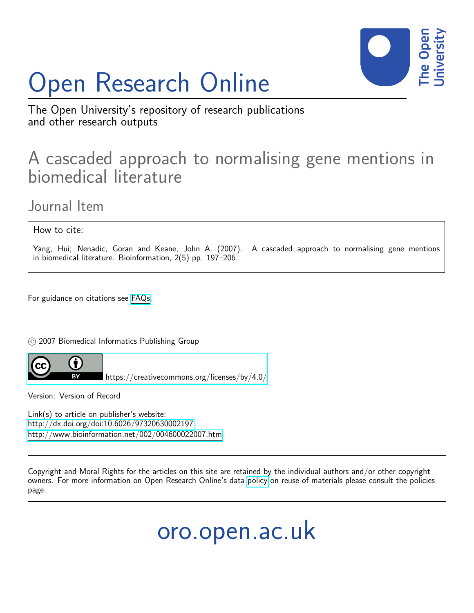# Open Research Online



The Open University's repository of research publications and other research outputs

## A cascaded approach to normalising gene mentions in biomedical literature

Journal Item

How to cite:

Yang, Hui; Nenadic, Goran and Keane, John A. (2007). A cascaded approach to normalising gene mentions in biomedical literature. Bioinformation, 2(5) pp. 197–206.

For guidance on citations see [FAQs.](http://oro.open.ac.uk/help/helpfaq.html)

 $\circ$  2007 Biomedical Informatics Publishing Group



<https://creativecommons.org/licenses/by/4.0/>

Version: Version of Record

Link(s) to article on publisher's website: <http://dx.doi.org/doi:10.6026/97320630002197> <http://www.bioinformation.net/002/004600022007.htm>

Copyright and Moral Rights for the articles on this site are retained by the individual authors and/or other copyright owners. For more information on Open Research Online's data [policy](http://oro.open.ac.uk/policies.html) on reuse of materials please consult the policies page.

oro.open.ac.uk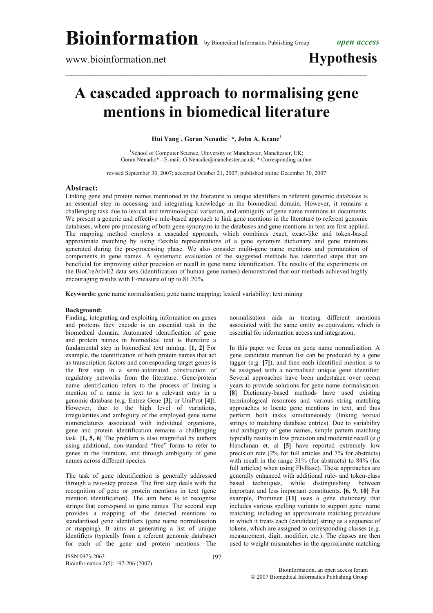### **A cascaded approach to normalising gene mentions in biomedical literature**

**Hui Yang**<sup>1</sup> **, Goran Nenadic**1, **\*, John A. Keane**<sup>1</sup>

<sup>1</sup>School of Computer Science, University of Manchester, Manchester, UK; Goran Nenadic\* - E-mail: G.Nenadic@manchester.ac.uk; \* Corresponding author

revised September 30, 2007; accepted October 21, 2007; published online December 30, 2007

### **Abstract:**

Linking gene and protein names mentioned in the literature to unique identifiers in referent genomic databases is an essential step in accessing and integrating knowledge in the biomedical domain. However, it remains a challenging task due to lexical and terminological variation, and ambiguity of gene name mentions in documents. We present a generic and effective rule-based approach to link gene mentions in the literature to referent genomic databases, where pre-processing of both gene synonyms in the databases and gene mentions in text are first applied. The mapping method employs a cascaded approach, which combines exact, exact-like and token-based approximate matching by using flexible representations of a gene synonym dictionary and gene mentions generated during the pre-processing phase. We also consider multi-gene name mentions and permutation of components in gene names. A systematic evaluation of the suggested methods has identified steps that are beneficial for improving either precision or recall in gene name identification. The results of the experiments on the BioCreAtIvE2 data sets (identification of human gene names) demonstrated that our methods achieved highly encouraging results with F-measure of up to 81.20%.

**Keywords:** gene name normalisation; gene name mapping; lexical variability; text mining

#### **Background:**

Finding, integrating and exploiting information on genes and proteins they encode is an essential task in the biomedical domain. Automated identification of gene and protein names in biomedical text is therefore a fundamental step in biomedical text mining. **[1, 2]** For example, the identification of both protein names that act as transcription factors and corresponding target genes is the first step in a semi-automated construction of regulatory networks from the literature. Gene/protein name identification refers to the process of linking a mention of a name in text to a relevant entry in a genomic database (e.g. Entrez Gene **[3]**, or UniProt **[4]**). However, due to the high level of variations, irregularities and ambiguity of the employed gene name nomenclatures associated with individual organisms, gene and protein identification remains a challenging task. **[1, 5, 6]** The problem is also magnified by authors using additional, non-standard "free" forms to refer to genes in the literature, and through ambiguity of gene names across different species.

The task of gene identification is generally addressed through a two-step process. The first step deals with the recognition of gene or protein mentions in text (gene mention identification). The aim here is to recognise strings that correspond to gene names. The second step provides a mapping of the detected mentions to standardised gene identifiers (gene name normalisation or mapping). It aims at generating a list of unique identifiers (typically from a referent genomic database) for each of the gene and protein mentions. The

ISSN 0973-2063 Bioinformation 2(5): 197-206 (2007) normalisation aids in treating different mentions associated with the same entity as equivalent, which is essential for information access and integration.

In this paper we focus on gene name normalisation. A gene candidate mention list can be produced by a gene tagger (e.g. **[7]**), and then each identified mention is to be assigned with a normalised unique gene identifier. Several approaches have been undertaken over recent years to provide solutions for gene name normalisation. **[8]** Dictionary-based methods have used existing terminological resources and various string matching approaches to locate gene mentions in text, and thus perform both tasks simultaneously (linking textual strings to matching database entries). Due to variability and ambiguity of gene names, simple pattern matching typically results in low precision and moderate recall (e.g. Hirschman et. al **[5]** have reported extremely low precision rate (2% for full articles and 7% for abstracts) with recall in the range 31% (for abstracts) to 84% (for full articles) when using FlyBase). These approaches are generally enhanced with additional rule- and token-class based techniques, while distinguishing between important and less important constituents. **[6, 9, 10]** For example, Prominer **[11]** uses a gene dictionary that includes various spelling variants to support gene name matching, including an approximate matching procedure in which it treats each (candidate) string as a sequence of tokens, which are assigned to corresponding classes (e.g. measurement, digit, modifier, etc.). The classes are then used to weight mismatches in the approximate matching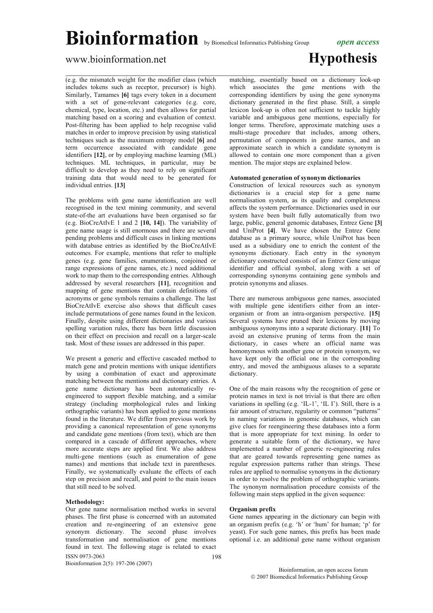### www.bioinformation.net **Hypothesis**

(e.g. the mismatch weight for the modifier class (which includes tokens such as receptor, precursor) is high). Similarly, Tamames **[6]** tags every token in a document with a set of gene-relevant categories (e.g. core, chemical, type, location, etc.) and then allows for partial matching based on a scoring and evaluation of context. Post-filtering has been applied to help recognise valid matches in order to improve precision by using statistical techniques such as the maximum entropy model **[6]** and term occurrence associated with candidate gene identifiers **[12]**, or by employing machine learning (ML) techniques. ML techniques, in particular, may be difficult to develop as they need to rely on significant training data that would need to be generated for individual entries. **[13]**

The problems with gene name identification are well recognised in the text mining community, and several state-of-the art evaluations have been organised so far (e.g. BioCreAtIvE 1 and 2 **[10, 14]**). The variability of gene name usage is still enormous and there are several pending problems and difficult cases in linking mentions with database entries as identified by the BioCreAtIvE outcomes. For example, mentions that refer to multiple genes (e.g. gene families, enumerations, conjoined or range expressions of gene names, etc.) need additional work to map them to the corresponding entries. Although addressed by several researchers **[11]**, recognition and mapping of gene mentions that contain definitions of acronyms or gene symbols remains a challenge. The last BioCreAtIvE exercise also shows that difficult cases include permutations of gene names found in the lexicon. Finally, despite using different dictionaries and various spelling variation rules, there has been little discussion on their effect on precision and recall on a larger-scale task. Most of these issues are addressed in this paper.

We present a generic and effective cascaded method to match gene and protein mentions with unique identifiers by using a combination of exact and approximate matching between the mentions and dictionary entries. A gene name dictionary has been automatically reengineered to support flexible matching, and a similar strategy (including morphological rules and linking orthographic variants) has been applied to gene mentions found in the literature. We differ from previous work by providing a canonical representation of gene synonyms and candidate gene mentions (from text), which are then compared in a cascade of different approaches, where more accurate steps are applied first. We also address multi-gene mentions (such as enumeration of gene names) and mentions that include text in parentheses. Finally, we systematically evaluate the effects of each step on precision and recall, and point to the main issues that still need to be solved.

#### **Methodology:**

Our gene name normalisation method works in several phases. The first phase is concerned with an automated creation and re-engineering of an extensive gene synonym dictionary. The second phase involves transformation and normalisation of gene mentions found in text. The following stage is related to exact

ISSN 0973-2063 Bioinformation 2(5): 197-206 (2007)

 $\mathcal{L}_\text{max}$  , and the contribution of the contribution of the contribution of the contribution of the contribution of the contribution of the contribution of the contribution of the contribution of the contribution of t matching, essentially based on a dictionary look-up which associates the gene mentions with the corresponding identifiers by using the gene synonyms dictionary generated in the first phase. Still, a simple lexicon look-up is often not sufficient to tackle highly variable and ambiguous gene mentions, especially for longer terms. Therefore, approximate matching uses a multi-stage procedure that includes, among others, permutation of components in gene names, and an approximate search in which a candidate synonym is allowed to contain one more component than a given mention. The major steps are explained below.

### **Automated generation of synonym dictionaries**

Construction of lexical resources such as synonym dictionaries is a crucial step for a gene name normalisation system, as its quality and completeness affects the system performance. Dictionaries used in our system have been built fully automatically from two large, public, general genomic databases, Entrez Gene **[3]** and UniProt **[4]**. We have chosen the Entrez Gene database as a primary source, while UniProt has been used as a subsidiary one to enrich the content of the synonyms dictionary. Each entry in the synonym dictionary constructed consists of an Entrez Gene unique identifier and official symbol, along with a set of corresponding synonyms containing gene symbols and protein synonyms and aliases.

There are numerous ambiguous gene names, associated with multiple gene identifiers either from an interorganism or from an intra-organism perspective. **[15]** Several systems have pruned their lexicons by moving ambiguous synonyms into a separate dictionary. **[11]** To avoid an extensive pruning of terms from the main dictionary, in cases where an official name was homonymous with another gene or protein synonym, we have kept only the official one in the corresponding entry, and moved the ambiguous aliases to a separate dictionary.

One of the main reasons why the recognition of gene or protein names in text is not trivial is that there are often variations in spelling (e.g. 'IL-1', 'IL I'). Still, there is a fair amount of structure, regularity or common "patterns" in naming variations in genomic databases, which can give clues for reengineering these databases into a form that is more appropriate for text mining. In order to generate a suitable form of the dictionary, we have implemented a number of generic re-engineering rules that are geared towards representing gene names as regular expression patterns rather than strings. These rules are applied to normalise synonyms in the dictionary in order to resolve the problem of orthographic variants. The synonym normalisation procedure consists of the following main steps applied in the given sequence:

### **Organism prefix**

198

Gene names appearing in the dictionary can begin with an organism prefix (e.g. 'h' or 'hum' for human; 'p' for yeast). For such gene names, this prefix has been made optional i.e. an additional gene name without organism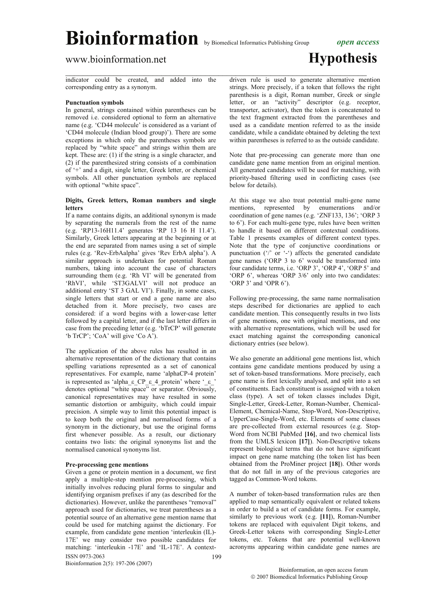### www.bioinformation.net **Hypothesis**

indicator could be created, and added into the corresponding entry as a synonym.

### **Punctuation symbols**

In general, strings contained within parentheses can be removed i.e. considered optional to form an alternative name (e.g. 'CD44 molecule' is considered as a variant of 'CD44 molecule (Indian blood group)'). There are some exceptions in which only the parentheses symbols are replaced by "white space" and strings within them are kept. These are: (1) if the string is a single character, and (2) if the parenthesized string consists of a combination of '+' and a digit, single letter, Greek letter, or chemical symbols. All other punctuation symbols are replaced with optional "white space".

### **Digits, Greek letters, Roman numbers and single letters**

If a name contains digits, an additional synonym is made by separating the numerals from the rest of the name (e.g. 'RP13-16H11.4' generates 'RP 13 16 H 11.4'). Similarly, Greek letters appearing at the beginning or at the end are separated from names using a set of simple rules (e.g. 'Rev-ErbAalpha' gives 'Rev ErbA alpha'). A similar approach is undertaken for potential Roman numbers, taking into account the case of characters surrounding them (e.g. 'Rh VI' will be generated from 'RhVI', while 'ST3GALVI' will not produce an additional entry 'ST 3 GAL VI'). Finally, in some cases, single letters that start or end a gene name are also detached from it. More precisely, two cases are considered: if a word begins with a lower-case letter followed by a capital letter, and if the last letter differs in case from the preceding letter (e.g. 'bTrCP' will generate 'b TrCP'; 'CoA' will give 'Co A').

The application of the above rules has resulted in an alternative representation of the dictionary that contains spelling variations represented as a set of canonical representatives. For example, name 'alphaCP-4 protein' is represented as 'alpha\_ε CP ε 4 protein' where ' ε ' denotes optional "white space" or separator. Obviously, canonical representatives may have resulted in some semantic distortion or ambiguity, which could impair precision. A simple way to limit this potential impact is to keep both the original and normalised forms of a synonym in the dictionary, but use the original forms first whenever possible. As a result, our dictionary contains two lists: the original synonyms list and the normalised canonical synonyms list.

#### **Pre-processing gene mentions**

ISSN 0973-2063 199 Given a gene or protein mention in a document, we first apply a multiple-step mention pre-processing, which initially involves reducing plural forms to singular and identifying organism prefixes if any (as described for the dictionaries). However, unlike the parentheses "removal" approach used for dictionaries, we treat parentheses as a potential source of an alternative gene mention name that could be used for matching against the dictionary. For example, from candidate gene mention 'interleukin (IL)- 17E' we may consider two possible candidates for matching: 'interleukin -17E' and 'IL-17E'. A context-

Bioinformation 2(5): 197-206 (2007)

 $\mathcal{L}_\text{max}$  , and the contribution of the contribution of the contribution of the contribution of the contribution of the contribution of the contribution of the contribution of the contribution of the contribution of t driven rule is used to generate alternative mention strings. More precisely, if a token that follows the right parenthesis is a digit, Roman number, Greek or single letter, or an "activity" descriptor (e.g. receptor, transporter, activator), then the token is concatenated to the text fragment extracted from the parentheses and used as a candidate mention referred to as the inside candidate, while a candidate obtained by deleting the text within parentheses is referred to as the outside candidate.

> Note that pre-processing can generate more than one candidate gene name mention from an original mention. All generated candidates will be used for matching, with priority-based filtering used in conflicting cases (see below for details).

> At this stage we also treat potential multi-gene name mentions, represented by enumerations and/or coordination of gene names (e.g. 'ZNF133, 136'; 'ORP 3 to 6'). For each multi-gene type, rules have been written to handle it based on different contextual conditions. Table 1 presents examples of different context types. Note that the type of conjunctive coordinations or punctuation  $(')'$  or  $(-')$  affects the generated candidate gene names ('ORP 3 to 6' would be transformed into four candidate terms, i.e. 'ORP 3', 'ORP 4', 'ORP 5' and 'ORP 6', whereas 'ORP 3/6' only into two candidates: 'ORP 3' and 'OPR 6').

> Following pre-processing, the same name normalisation steps described for dictionaries are applied to each candidate mention. This consequently results in two lists of gene mentions, one with original mentions, and one with alternative representations, which will be used for exact matching against the corresponding canonical dictionary entries (see below).

> We also generate an additional gene mentions list, which contains gene candidate mentions produced by using a set of token-based transformations. More precisely, each gene name is first lexically analysed, and split into a set of constituents. Each constituent is assigned with a token class (type). A set of token classes includes Digit, Single-Letter, Greek-Letter, Roman-Number, Chemical-Element, Chemical-Name, Stop-Word, Non-Descriptive, UpperCase-Single-Word, etc. Elements of some classes are pre-collected from external resources (e.g. Stop-Word from NCBI PubMed **[16]**, and two chemical lists from the UMLS lexicon **[17]**). Non-Descriptive tokens represent biological terms that do not have significant impact on gene name matching (the token list has been obtained from the ProMiner project **[18]**). Other words that do not fall in any of the previous categories are tagged as Common-Word tokens.

> A number of token-based transformation rules are then applied to map semantically equivalent or related tokens in order to build a set of candidate forms. For example, similarly to previous work (e.g. **[11]**), Roman-Number tokens are replaced with equivalent Digit tokens, and Greek-Letter tokens with corresponding Single-Letter tokens, etc. Tokens that are potential well-known acronyms appearing within candidate gene names are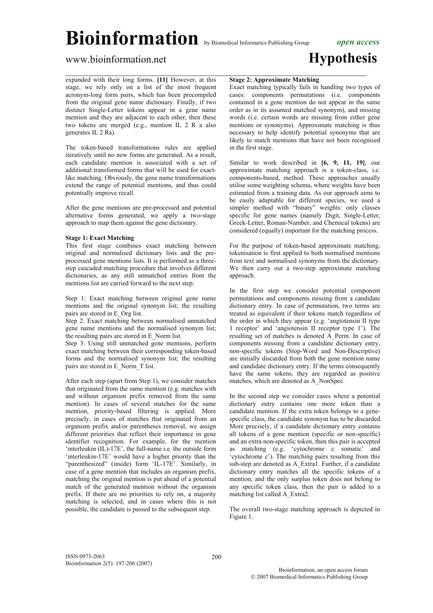$\mathcal{L}_\text{max}$  , and the contribution of the contribution of the contribution of the contribution of the contribution of the contribution of the contribution of the contribution of the contribution of the contribution of t

### www.bioinformation.net **Hypothesis**

expanded with their long forms. **[11]** However, at this stage, we rely only on a list of the most frequent acronym-long form pairs, which has been precompiled from the original gene name dictionary. Finally, if two distinct Single-Letter tokens appear in a gene name mention and they are adjacent to each other, then these two tokens are merged (e.g., mention IL 2 R a also generates IL 2 Ra).

The token-based transformations rules are applied iteratively until no new forms are generated. As a result, each candidate mention is associated with a set of additional transformed forms that will be used for exactlike matching. Obviously, the gene name transformations extend the range of potential mentions, and thus could potentially improve recall.

After the gene mentions are pre-processed and potential alternative forms generated, we apply a two-stage approach to map them against the gene dictionary.

### **Stage 1: Exact Matching**

This first stage combines exact matching between original and normalised dictionary lists and the preprocessed gene mentions lists. It is performed as a threestep cascaded matching procedure that involves different dictionaries, as any still unmatched entries from the mentions list are carried forward to the next step:

Step 1: Exact matching between original gene name mentions and the original synonym list; the resulting pairs are stored in E\_Org list.

Step 2: Exact matching between normalised unmatched gene name mentions and the normalised synonym list; the resulting pairs are stored in E\_Norm list.

Step 3: Using still unmatched gene mentions, perform exact matching between their corresponding token-based forms and the normalised synonym list; the resulting pairs are stored in E\_Norm\_T list.

After each step (apart from Step 1), we consider matches that originated from the same mention (e.g. matches with and without organism prefix removed from the same mention). In cases of several matches for the same mention, priority-based filtering is applied. More precisely, in cases of matches that originated from an organism prefix and/or parentheses removal, we assign different priorities that reflect their importance in gene identifier recognition. For example, for the mention 'interleukin (IL)-17E', the full-name i.e. the outside form 'interleukin-17E' would have a higher priority than the "parenthesized" (inside) form 'IL-17E'. Similarly, in case of a gene mention that includes an organism prefix, matching the original mention is put ahead of a potential match of the generated mention without the organism prefix. If there are no priorities to rely on, a majority matching is selected, and in cases where this is not possible, the candidate is passed to the subsequent step.

### **Stage 2: Approximate Matching**

Exact matching typically fails in handling two types of cases: components permutations (i.e. components contained in a gene mention do not appear in the same order as in its assumed matched synonym), and missing words (i.e. certain words are missing from either gene mentions or synonyms). Approximate matching is thus necessary to help identify potential synonyms that are likely to match mentions that have not been recognised in the first stage.

Similar to work described in **[6, 9, 11, 19]**, our approximate matching approach is a token-class, i.e. components-based, method. These approaches usually utilise some weighting schema, where weights have been estimated from a training data. As our approach aims to be easily adaptable for different species, we used a simpler method with "binary" weights: only classes specific for gene names (namely Digit, Single-Letter, Greek-Letter, Roman-Number, and Chemical tokens) are considered (equally) important for the matching process.

For the purpose of token-based approximate matching, tokenisation is first applied to both normalised mentions from text and normalised synonyms from the dictionary. We then carry out a two-step approximate matching approach.

In the first step we consider potential component permutations and components missing from a candidate dictionary entry. In case of permutation, two terms are treated as equivalent if their tokens match regardless of the order in which they appear (e.g. 'angiotensin II type 1 receptor' and 'angiotensin II receptor type 1'). The resulting set of matches is denoted A\_Perm. In case of components missing from a candidate dictionary entry, non-specific tokens (Stop-Word and Non-Descriptive) are initially discarded from both the gene mention name and candidate dictionary entry. If the terms consequently have the same tokens, they are regarded as positive matches, which are denoted as A\_NonSpec.

In the second step we consider cases where a potential dictionary entry contains one more token than a candidate mention. If the extra token belongs to a genespecific class, the candidate synonym has to be discarded. More precisely, if a candidate dictionary entry contains all tokens of a gene mention (specific or non-specific) and an extra non-specific token, then this pair is accepted as matching (e.g. 'cytochrome c somatic' and 'cytochrome c'). The matching pairs resulting from this sub-step are denoted as A\_Extra1. Further, if a candidate dictionary entry matches all the specific tokens of a mention, and the only surplus token does not belong to any specific token class, then the pair is added to a matching list called A\_Extra2.

The overall two-stage matching approach is depicted in Figure 1.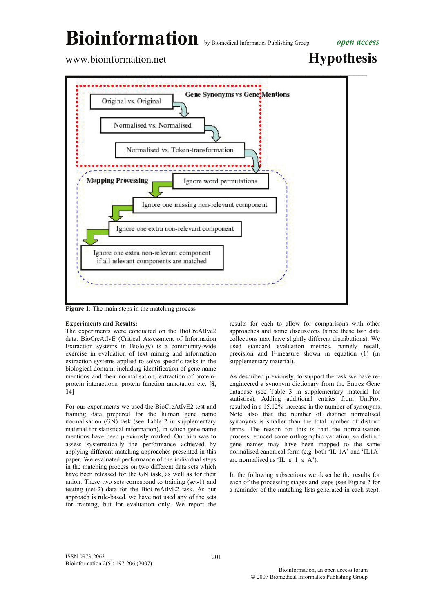www.bioinformation.net **Hypothesis** 



**Figure 1**: The main steps in the matching process

### **Experiments and Results:**

The experiments were conducted on the BioCreAtIve2 data. BioCreAtIvE (Critical Assessment of Information Extraction systems in Biology) is a community-wide exercise in evaluation of text mining and information extraction systems applied to solve specific tasks in the biological domain, including identification of gene name mentions and their normalisation, extraction of proteinprotein interactions, protein function annotation etc. **[8, 14]**

For our experiments we used the BioCreAtIvE2 test and training data prepared for the human gene name normalisation  $(\overline{GN})$  task (see Table 2 in supplementary material for statistical information), in which gene name mentions have been previously marked. Our aim was to assess systematically the performance achieved by applying different matching approaches presented in this paper. We evaluated performance of the individual steps in the matching process on two different data sets which have been released for the GN task, as well as for their union. These two sets correspond to training (set-1) and testing (set-2) data for the BioCreAtIvE2 task. As our approach is rule-based, we have not used any of the sets for training, but for evaluation only. We report the

results for each to allow for comparisons with other approaches and some discussions (since these two data collections may have slightly different distributions). We used standard evaluation metrics, namely recall, precision and F-measure shown in equation (1) (in supplementary material).

As described previously, to support the task we have reengineered a synonym dictionary from the Entrez Gene database (see Table 3 in supplementary material for statistics). Adding additional entries from UniProt resulted in a 15.12% increase in the number of synonyms. Note also that the number of distinct normalised synonyms is smaller than the total number of distinct terms. The reason for this is that the normalisation process reduced some orthographic variation, so distinct gene names may have been mapped to the same normalised canonical form (e.g. both 'IL-1A' and 'IL1A' are normalised as 'IL ε 1 ε A').

In the following subsections we describe the results for each of the processing stages and steps (see Figure 2 for a reminder of the matching lists generated in each step).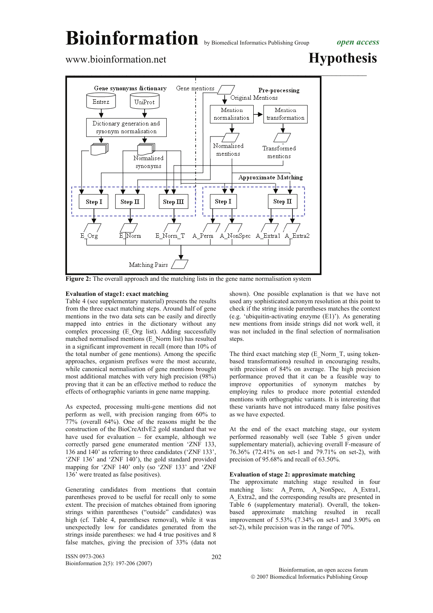### www.bioinformation.net **Hypothesis**



**Figure 2:** The overall approach and the matching lists in the gene name normalisation system

### **Evaluation of stage1: exact matching**

Table 4 (see supplementary material) presents the results from the three exact matching steps. Around half of gene mentions in the two data sets can be easily and directly mapped into entries in the dictionary without any complex processing (E\_Org list). Adding successfully matched normalised mentions (E\_Norm list) has resulted in a significant improvement in recall (more than 10% of the total number of gene mentions). Among the specific approaches, organism prefixes were the most accurate, while canonical normalisation of gene mentions brought most additional matches with very high precision (98%) proving that it can be an effective method to reduce the effects of orthographic variants in gene name mapping.

As expected, processing multi-gene mentions did not perform as well, with precision ranging from 60% to 77% (overall 64%). One of the reasons might be the construction of the BioCreAtIvE2 gold standard that we have used for evaluation – for example, although we correctly parsed gene enumerated mention 'ZNF 133, 136 and 140' as referring to three candidates ('ZNF 133', 'ZNF 136' and 'ZNF 140'), the gold standard provided mapping for 'ZNF 140' only (so 'ZNF 133' and 'ZNF  $136'$  were treated as false positives).

Generating candidates from mentions that contain parentheses proved to be useful for recall only to some extent. The precision of matches obtained from ignoring strings within parentheses ("outside" candidates) was high (cf. Table 4, parentheses removal), while it was unexpectedly low for candidates generated from the strings inside parentheses: we had 4 true positives and 8 false matches, giving the precision of 33% (data not

ISSN 0973-2063 Bioinformation 2(5): 197-206 (2007) shown). One possible explanation is that we have not used any sophisticated acronym resolution at this point to check if the string inside parentheses matches the context (e.g. 'ubiquitin-activating enzyme (E1)'). As generating new mentions from inside strings did not work well, it was not included in the final selection of normalisation steps.

The third exact matching step (E\_Norm\_T, using tokenbased transformations**)** resulted in encouraging results, with precision of 84% on average. The high precision performance proved that it can be a feasible way to improve opportunities of synonym matches by employing rules to produce more potential extended mentions with orthographic variants. It is interesting that these variants have not introduced many false positives as we have expected.

At the end of the exact matching stage, our system performed reasonably well (see Table 5 given under supplementary material), achieving overall F-measure of 76.36% (72.41% on set-1 and 79.71% on set-2), with precision of 95.68% and recall of 63.50%.

### **Evaluation of stage 2: approximate matching**

The approximate matching stage resulted in four matching lists: A\_Perm, A\_NonSpec, A\_Extra1, A\_Extra2, and the corresponding results are presented in Table 6 (supplementary material). Overall, the tokenbased approximate matching resulted in recall improvement of 5.53% (7.34% on set-1 and 3.90% on set-2), while precision was in the range of 70%.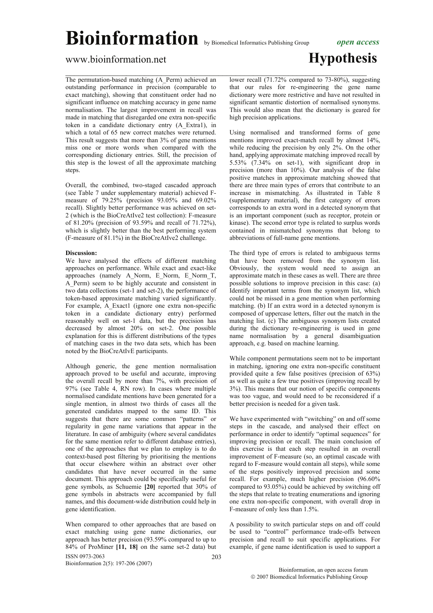### www.bioinformation.net **Hypothesis**

The permutation-based matching (A\_Perm) achieved an outstanding performance in precision (comparable to exact matching), showing that constituent order had no significant influence on matching accuracy in gene name normalisation. The largest improvement in recall was made in matching that disregarded one extra non-specific token in a candidate dictionary entry (A\_Extra1), in which a total of 65 new correct matches were returned. This result suggests that more than 3% of gene mentions miss one or more words when compared with the corresponding dictionary entries. Still, the precision of this step is the lowest of all the approximate matching steps.

Overall, the combined, two-staged cascaded approach (see Table 7 under supplementary material) achieved Fmeasure of 79.25% (precision 93.05% and 69.02% recall). Slightly better performance was achieved on set-2 (which is the BioCreAtIve2 test collection): F-measure of 81.20% (precision of 93.59% and recall of 71.72%), which is slightly better than the best performing system (F-measure of 81.1%) in the BioCreAtIve2 challenge.

#### **Discussion:**

We have analysed the effects of different matching approaches on performance. While exact and exact-like approaches (namely A\_Norm, E\_Norm, E\_Norm\_T, A\_Perm) seem to be highly accurate and consistent in two data collections (set-1 and set-2), the performance of token-based approximate matching varied significantly. For example, A\_Exact1 (ignore one extra non-specific token in a candidate dictionary entry) performed reasonably well on set-1 data, but the precision has decreased by almost 20% on set-2. One possible explanation for this is different distributions of the types of matching cases in the two data sets, which has been noted by the BioCreAtIvE participants.

Although generic, the gene mention normalisation approach proved to be useful and accurate, improving the overall recall by more than 7%, with precision of 97% (see Table 4, RN row). In cases where multiple normalised candidate mentions have been generated for a single mention, in almost two thirds of cases all the generated candidates mapped to the same ID. This suggests that there are some common "patterns" or regularity in gene name variations that appear in the literature. In case of ambiguity (where several candidates for the same mention refer to different database entries), one of the approaches that we plan to employ is to do context-based post filtering by prioritising the mentions that occur elsewhere within an abstract over other candidates that have never occurred in the same document. This approach could be specifically useful for gene symbols, as Schuemie **[20]** reported that 30% of gene symbols in abstracts were accompanied by full names, and this document-wide distribution could help in gene identification.

ISSN 0973-2063 Bioinformation 2(5): 197-206 (2007)  $203$ When compared to other approaches that are based on exact matching using gene name dictionaries, our approach has better precision (93.59% compared to up to 84% of ProMiner **[11, 18]** on the same set-2 data) but

 $\mathcal{L}_\text{max}$  , and the contribution of the contribution of the contribution of the contribution of the contribution of the contribution of the contribution of the contribution of the contribution of the contribution of t lower recall (71.72% compared to 73-80%), suggesting that our rules for re-engineering the gene name dictionary were more restrictive and have not resulted in significant semantic distortion of normalised synonyms. This would also mean that the dictionary is geared for high precision applications.

> Using normalised and transformed forms of gene mentions improved exact-match recall by almost 14%, while reducing the precision by only 2%. On the other hand, applying approximate matching improved recall by 5.53% (7.34% on set-1), with significant drop in precision (more than 10%). Our analysis of the false positive matches in approximate matching showed that there are three main types of errors that contribute to an increase in mismatching. As illustrated in Table 8 (supplementary material), the first category of errors corresponds to an extra word in a detected synonym that is an important component (such as receptor, protein or kinase). The second error type is related to surplus words contained in mismatched synonyms that belong to abbreviations of full-name gene mentions.

> The third type of errors is related to ambiguous terms that have been removed from the synonym list. Obviously, the system would need to assign an approximate match in these cases as well. There are three possible solutions to improve precision in this case: (a) Identify important terms from the synonym list, which could not be missed in a gene mention when performing matching. (b) If an extra word in a detected synonym is composed of uppercase letters, filter out the match in the matching list. (c) The ambiguous synonym lists created during the dictionary re-engineering is used in gene name normalisation by a general disambiguation approach, e.g. based on machine learning.

> While component permutations seem not to be important in matching, ignoring one extra non-specific constituent provided quite a few false positives (precision of 63%) as well as quite a few true positives (improving recall by 3%). This means that our notion of specific components was too vague, and would need to be reconsidered if a better precision is needed for a given task.

> We have experimented with "switching" on and off some steps in the cascade, and analysed their effect on performance in order to identify "optimal sequences" for improving precision or recall. The main conclusion of this exercise is that each step resulted in an overall improvement of F-measure (so, an optimal cascade with regard to F-measure would contain all steps), while some of the steps positively improved precision and some recall. For example, much higher precision (96.60% compared to 93.05%) could be achieved by switching off the steps that relate to treating enumerations and ignoring one extra non-specific component, with overall drop in F-measure of only less than 1.5%.

> A possibility to switch particular steps on and off could be used to "control" performance trade-offs between precision and recall to suit specific applications. For example, if gene name identification is used to support a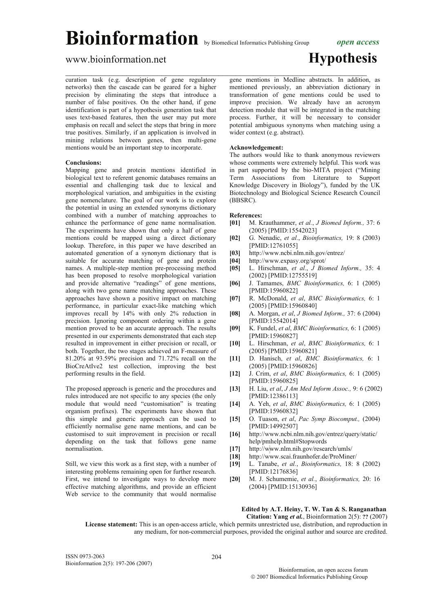### www.bioinformation.net **Hypothesis**

curation task (e.g. description of gene regulatory networks) then the cascade can be geared for a higher precision by eliminating the steps that introduce a number of false positives. On the other hand, if gene identification is part of a hypothesis generation task that uses text-based features, then the user may put more emphasis on recall and select the steps that bring in more true positives. Similarly, if an application is involved in mining relations between genes, then multi-gene mentions would be an important step to incorporate.

### **Conclusions:**

Mapping gene and protein mentions identified in biological text to referent genomic databases remains an essential and challenging task due to lexical and morphological variation, and ambiguities in the existing gene nomenclature. The goal of our work is to explore the potential in using an extended synonyms dictionary combined with a number of matching approaches to enhance the performance of gene name normalisation. The experiments have shown that only a half of gene mentions could be mapped using a direct dictionary lookup. Therefore, in this paper we have described an automated generation of a synonym dictionary that is suitable for accurate matching of gene and protein names. A multiple-step mention pre-processing method has been proposed to resolve morphological variation and provide alternative "readings" of gene mentions, along with two gene name matching approaches. These approaches have shown a positive impact on matching performance, in particular exact-like matching which improves recall by 14% with only 2% reduction in precision. Ignoring component ordering within a gene mention proved to be an accurate approach. The results presented in our experiments demonstrated that each step resulted in improvement in either precision or recall, or both. Together, the two stages achieved an F-measure of 81.20% at 93.59% precision and 71.72% recall on the BioCreAtIve2 test collection, improving the best performing results in the field.

The proposed approach is generic and the procedures and rules introduced are not specific to any species (the only module that would need "customisation" is treating organism prefixes). The experiments have shown that this simple and generic approach can be used to efficiently normalise gene name mentions, and can be customised to suit improvement in precision or recall depending on the task that follows gene name normalisation.

Still, we view this work as a first step, with a number of interesting problems remaining open for further research. First, we intend to investigate ways to develop more effective matching algorithms, and provide an efficient Web service to the community that would normalise

 $\mathcal{L}_\text{max}$  , and the contribution of the contribution of the contribution of the contribution of the contribution of the contribution of the contribution of the contribution of the contribution of the contribution of t gene mentions in Medline abstracts. In addition, as mentioned previously, an abbreviation dictionary in transformation of gene mentions could be used to improve precision. We already have an acronym

detection module that will be integrated in the matching process. Further, it will be necessary to consider potential ambiguous synonyms when matching using a wider context (e.g. abstract).

### **Acknowledgement:**

The authors would like to thank anonymous reviewers whose comments were extremely helpful. This work was in part supported by the bio-MITA project ("Mining Term Associations from Literature to Support Knowledge Discovery in Biology"), funded by the UK Biotechnology and Biological Science Research Council (BBSRC).

#### **References:**

- **[01]** M. Krauthammer, *et al.*, *J Biomed Inform.,* 37: 6 (2005) [PMID:15542023]
- **[02]** G. Nenadic, *et al.*, *Bioinformatics,* 19: 8 (2003) [PMID:12761055]
- **[03]** http://www.ncbi.nlm.nih.gov/entrez/
- **[04]** http://www.expasy.org/sprot/
- **[05]** L. Hirschman, *et al.*, *J Biomed Inform.,* 35: 4 (2002) [PMID:12755519]
- **[06]** J. Tamames, *BMC Bioinformatics,* 6: 1 (2005) [PMID:15960822]
- **[07]** R. McDonald, *et al*, *BMC Bioinformatics,* 6: 1 (2005) [PMID:15960840]
- **[08]** A. Morgan, *et al*, *J Biomed Inform.,* 37: 6 (2004) [PMID:15542014]
- **[09]** K. Fundel, *et al*, *BMC Bioinformatics,* 6: 1 (2005) [PMID:15960827]
- **[10]** L. Hirschman, *et al*, *BMC Bioinformatics,* 6: 1 (2005) [PMID:15960821]
- **[11]** D. Hanisch, *et al*, *BMC Bioinformatics,* 6: 1 (2005) [PMID:15960826]
- **[12]** J. Crim, *et al*, *BMC Bioinformatics,* 6: 1 (2005) [PMID:15960825]
- **[13]** H. Liu, *et al*, *J Am Med Inform Assoc.,* 9: 6 (2002) [PMID:12386113]
- **[14]** A. Yeh, *et al*, *BMC Bioinformatics,* 6: 1 (2005) [PMID:15960832]
- **[15]** O. Tuason, *et al*, *Pac Symp Biocomput.,* (2004) [PMID:14992507]
- **[16]** http://www.ncbi.nlm.nih.gov/entrez/query/static/ help/pmhelp.html#Stopwords
- **[17]** http://www.nlm.nih.gov/research/umls/
- **[18]** http://www.scai.fraunhofer.de/ProMiner/
- **[19]** L. Tanabe, *et al.*, *Bioinformatics,* 18: 8 (2002) [PMID:12176836]
- **[20]** M. J. Schumemie, *et al.*, *Bioinformatics,* 20: 16 (2004) [PMID:15130936]

#### **Edited by A.T. Heiny, T. W. Tan & S. Ranganathan Citation: Yang** *et al.*, Bioinformation 2(5): **??** (2007)

 **License statement:** This is an open-access article, which permits unrestricted use, distribution, and reproduction in any medium, for non-commercial purposes, provided the original author and source are credited.

 $204$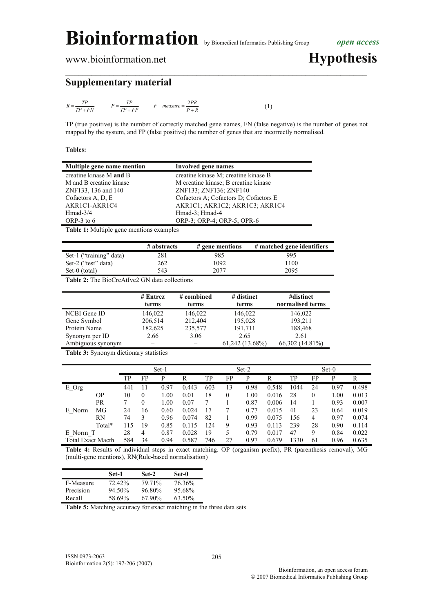www.bioinformation.net **Hypothesis** 

### **Supplementary material**

$$
R = \frac{TP}{TP + FN}
$$

$$
P = \frac{TP}{TP + FP} \qquad F - measure = \frac{2PR}{P + R} \tag{1}
$$

TP (true positive) is the number of correctly matched gene names, FN (false negative) is the number of genes not mapped by the system, and FP (false positive) the number of genes that are incorrectly normalised.

 $\mathcal{L}_\text{max}$  , and the contribution of the contribution of the contribution of the contribution of the contribution of the contribution of the contribution of the contribution of the contribution of the contribution of t

### **Tables:**

| Multiple gene name mention | <b>Involved gene names</b>            |
|----------------------------|---------------------------------------|
| creatine kinase M and B    | creatine kinase M; creatine kinase B  |
| M and B creatine kinase    | M creatine kinase; B creatine kinase  |
| ZNF133, 136 and 140        | ZNF133; ZNF136; ZNF140                |
| Cofactors A, D, E          | Cofactors A: Cofactors D: Cofactors E |
| AKR1C1-AKR1C4              | AKRICI; AKRIC2; AKRIC3; AKRIC4        |
| $Hmad-3/4$                 | Hmad-3; Hmad-4                        |
| ORP-3 to $6$               | ORP-3; ORP-4; ORP-5; OPR-6            |

**Table 1:** Multiple gene mentions examples

|                         | # abstracts | $#$ gene mentions | # matched gene identifiers |
|-------------------------|-------------|-------------------|----------------------------|
| Set-1 ("training" data) | 281         | 985               | 995                        |
| Set-2 ("test" data)     | 262         | 1092              | 1100                       |
| Set-0 (total)           | 543         | 2077              | 2095                       |

**Table 2:** The BioCreAtIve2 GN data collections

|                   | $#$ Entrez | # combined | # distinct        | #distinct         |
|-------------------|------------|------------|-------------------|-------------------|
|                   | terms      | terms      | terms             | normalised terms  |
| NCBI Gene ID      | 146,022    | 146,022    | 146,022           | 146,022           |
| Gene Symbol       | 206,514    | 212,404    | 195,028           | 193,211           |
| Protein Name      | 182,625    | 235,577    | 191,711           | 188,468           |
| Synonym per ID    | 2.66       | 3.06       | 2.65              | 2.61              |
| Ambiguous synonym |            |            | $61,242$ (13.68%) | $66,302(14.81\%)$ |

**Table 3:** Synonym dictionary statistics

|                          |           |     |          | $Set-1$ |       |     |    | Set-2 |       |      |          | Set-0 |       |
|--------------------------|-----------|-----|----------|---------|-------|-----|----|-------|-------|------|----------|-------|-------|
|                          |           | TР  | FP       | P       | R     | TP  | FP | P     | R     | TP   | FP       | P     | R     |
| E_Org                    |           | 441 |          | 0.97    | 0.443 | 603 | 13 | 0.98  | 0.548 | 1044 | 24       | 0.97  | 0.498 |
|                          | <b>OP</b> | 10  | $\theta$ | 1.00    | 0.01  | 18  | 0  | 1.00  | 0.016 | 28   | $\theta$ | 1.00  | 0.013 |
|                          | <b>PR</b> |     | 0        | 1.00    | 0.07  |     |    | 0.87  | 0.006 | 14   |          | 0.93  | 0.007 |
| E Norm                   | MG        | 24  | 16       | 0.60    | 0.024 | 17  |    | 0.77  | 0.015 | 41   | 23       | 0.64  | 0.019 |
|                          | <b>RN</b> | 74  | 3        | 0.96    | 0.074 | 82  |    | 0.99  | 0.075 | 156  | 4        | 0.97  | 0.074 |
|                          | Total*    | 115 | 19       | 0.85    | 0.115 | 124 | 9  | 0.93  | 0.113 | 239  | 28       | 0.90  | 0.114 |
| E Norm T                 |           | 28  | 4        | 0.87    | 0.028 | 19  | 5. | 0.79  | 0.017 | 47   | 9        | 0.84  | 0.022 |
| <b>Total Exact Macth</b> |           | 584 | 34       | 0.94    | 0.587 | 746 | 27 | 0.97  | 0.679 | 1330 | 61       | 0.96  | 0.635 |

**Table 4:** Results of individual steps in exact matching. OP (organism prefix), PR (parenthesis removal), MG (multi-gene mentions), RN(Rule-based normalisation)

|           | Set-1     | Set-2  | Set-0  |
|-----------|-----------|--------|--------|
| F-Measure | 72.42%    | 79 71% | 76.36% |
| Precision | $94.50\%$ | 96.80% | 95.68% |
| Recall    | 58.69%    | 67.90% | 63.50% |

**Table 5:** Matching accuracy for exact matching in the three data sets